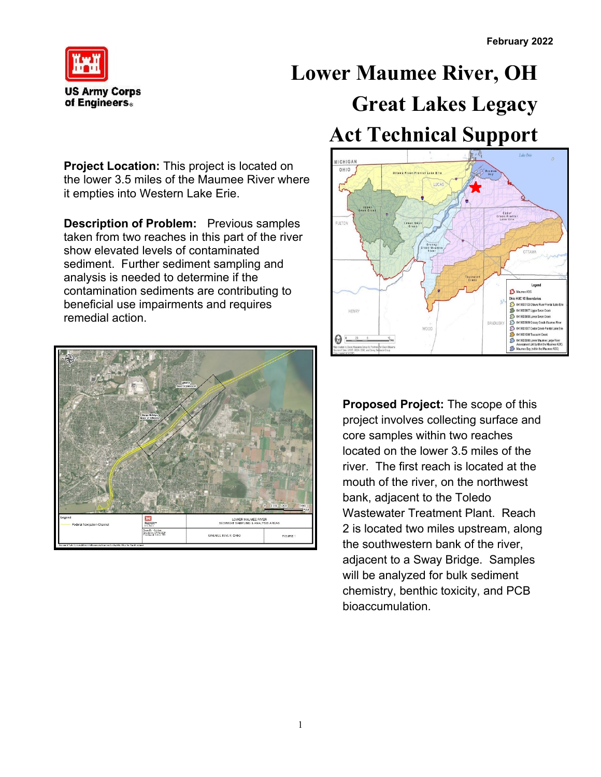

remedial action.

## **Lower Maumee River, OH Great Lakes Legacy Act Technical Support**

**AICHIGAN** OHIO tal Iska Frie Cedar<br>Creek-Frontal<br>Lake Erie **ULTO** Lower Sw Legen 53 Maumee AOC Ohio HUC 10 Boundaries 6 0410000103 Ottawa River-Fr 0410000907 Upper Swan Creek<br>3 0410000908 Lower Swan Creek 0410000908 Lower Swan Creek 5 0410000909 Grassy Creek-Maumee Rive 6410001007 Cedar Creek-Frontal Lake E 0410001006 Toussaint Creek<br>04100001006 Toussaint Creek<br>Assessment Unit (within the Max<br>Maumae Bay (within the Maxme

122<br>Mayıs 23 LOWER MAUMEE RIVER<br>SEDIMENT SAMPLING & ANALYSIS AREAS .<br>Desa By - Galchari<br>Desa Burac, C1 Mar 2021<br>Les Burac, 1983 - Bel MAUMEE RIVER, OHIO FIGURE

**Project Location:** This project is located on the lower 3.5 miles of the Maumee River where

**Description of Problem:** Previous samples taken from two reaches in this part of the river

contamination sediments are contributing to beneficial use impairments and requires

it empties into Western Lake Erie.

show elevated levels of contaminated sediment. Further sediment sampling and analysis is needed to determine if the

> **Proposed Project:** The scope of this project involves collecting surface and core samples within two reaches located on the lower 3.5 miles of the river. The first reach is located at the mouth of the river, on the northwest bank, adjacent to the Toledo Wastewater Treatment Plant. Reach 2 is located two miles upstream, along the southwestern bank of the river, adjacent to a Sway Bridge. Samples will be analyzed for bulk sediment chemistry, benthic toxicity, and PCB bioaccumulation.